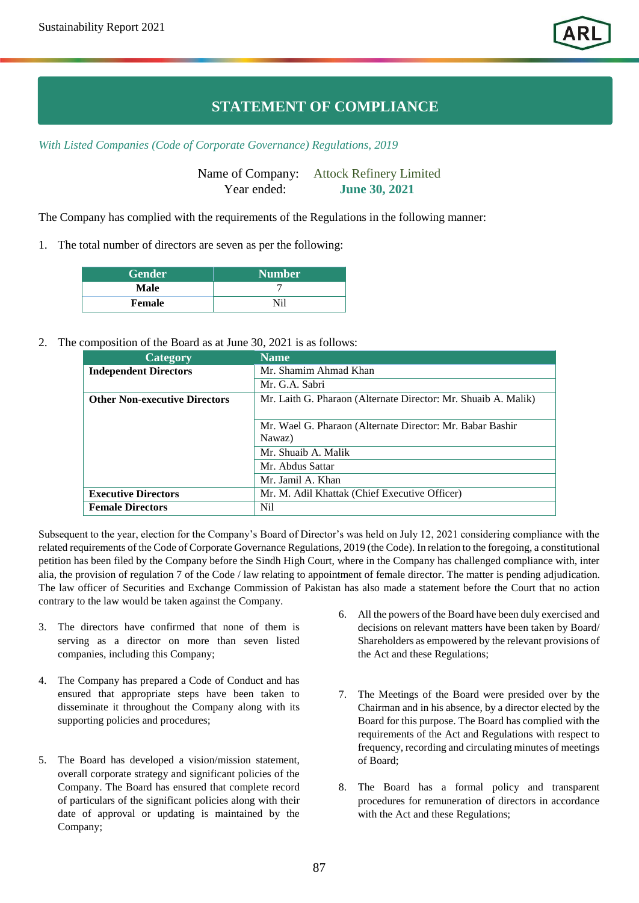## **STATEMENT OF COMPLIANCE**

*With Listed Companies (Code of Corporate Governance) Regulations, 2019*

Name of Company: Attock Refinery Limited Year ended: **June 30, 2021**

The Company has complied with the requirements of the Regulations in the following manner:

1. The total number of directors are seven as per the following:

| <b>Gender</b> | <b>Number</b> |
|---------------|---------------|
| Male          |               |
| Female        | Ni1           |

## 2. The composition of the Board as at June 30, 2021 is as follows:

| Category                             | <b>Name</b>                                                    |  |
|--------------------------------------|----------------------------------------------------------------|--|
| <b>Independent Directors</b>         | Mr. Shamim Ahmad Khan                                          |  |
|                                      | Mr. G.A. Sabri                                                 |  |
| <b>Other Non-executive Directors</b> | Mr. Laith G. Pharaon (Alternate Director: Mr. Shuaib A. Malik) |  |
|                                      |                                                                |  |
|                                      | Mr. Wael G. Pharaon (Alternate Director: Mr. Babar Bashir      |  |
|                                      | Nawaz)                                                         |  |
|                                      | Mr. Shuaib A. Malik                                            |  |
|                                      | Mr. Abdus Sattar                                               |  |
|                                      | Mr. Jamil A. Khan                                              |  |
| <b>Executive Directors</b>           | Mr. M. Adil Khattak (Chief Executive Officer)                  |  |
| <b>Female Directors</b>              | Nil                                                            |  |

Subsequent to the year, election for the Company's Board of Director's was held on July 12, 2021 considering compliance with the related requirements of the Code of Corporate Governance Regulations, 2019 (the Code). In relation to the foregoing, a constitutional petition has been filed by the Company before the Sindh High Court, where in the Company has challenged compliance with, inter alia, the provision of regulation 7 of the Code / law relating to appointment of female director. The matter is pending adjudication. The law officer of Securities and Exchange Commission of Pakistan has also made a statement before the Court that no action contrary to the law would be taken against the Company.

- 3. The directors have confirmed that none of them is serving as a director on more than seven listed companies, including this Company;
- 4. The Company has prepared a Code of Conduct and has ensured that appropriate steps have been taken to disseminate it throughout the Company along with its supporting policies and procedures;
- 5. The Board has developed a vision/mission statement, overall corporate strategy and significant policies of the Company. The Board has ensured that complete record of particulars of the significant policies along with their date of approval or updating is maintained by the Company;
- 6. All the powers of the Board have been duly exercised and decisions on relevant matters have been taken by Board/ Shareholders as empowered by the relevant provisions of the Act and these Regulations;
- 7. The Meetings of the Board were presided over by the Chairman and in his absence, by a director elected by the Board for this purpose. The Board has complied with the requirements of the Act and Regulations with respect to frequency, recording and circulating minutes of meetings of Board;
- 8. The Board has a formal policy and transparent procedures for remuneration of directors in accordance with the Act and these Regulations;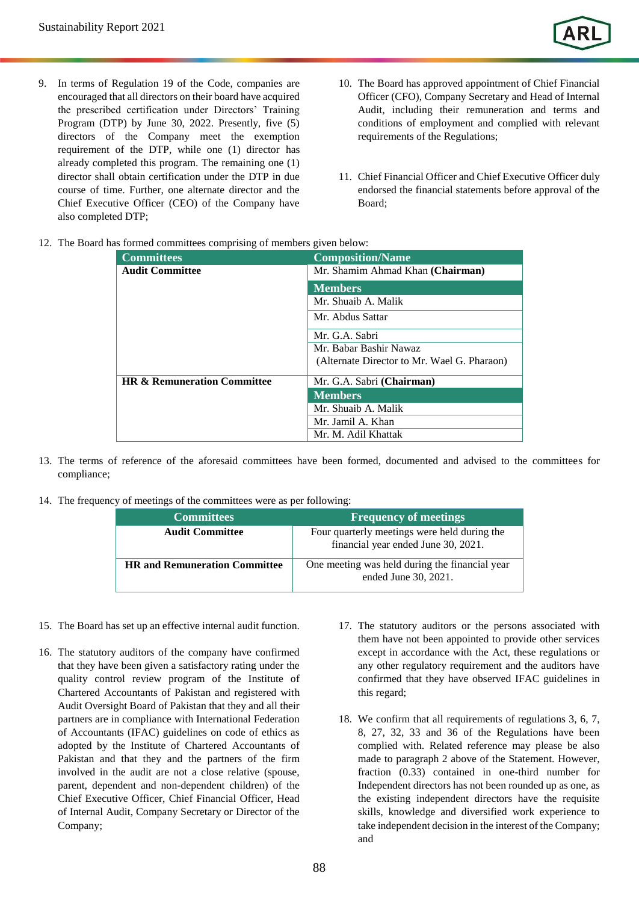- 9. In terms of Regulation 19 of the Code, companies are encouraged that all directors on their board have acquired the prescribed certification under Directors' Training Program (DTP) by June 30, 2022. Presently, five (5) directors of the Company meet the exemption requirement of the DTP, while one (1) director has already completed this program. The remaining one (1) director shall obtain certification under the DTP in due course of time. Further, one alternate director and the Chief Executive Officer (CEO) of the Company have also completed DTP;
- 10. The Board has approved appointment of Chief Financial Officer (CFO), Company Secretary and Head of Internal Audit, including their remuneration and terms and conditions of employment and complied with relevant requirements of the Regulations;
- 11. Chief Financial Officer and Chief Executive Officer duly endorsed the financial statements before approval of the Board;
- 12. The Board has formed committees comprising of members given below:

| <b>Committees</b>                      | <b>Composition/Name</b>                     |  |  |
|----------------------------------------|---------------------------------------------|--|--|
| <b>Audit Committee</b>                 | Mr. Shamim Ahmad Khan (Chairman)            |  |  |
|                                        | <b>Members</b>                              |  |  |
|                                        | Mr. Shuaib A. Malik                         |  |  |
|                                        | Mr. Abdus Sattar                            |  |  |
|                                        | Mr. G.A. Sabri                              |  |  |
|                                        | Mr. Babar Bashir Nawaz                      |  |  |
|                                        | (Alternate Director to Mr. Wael G. Pharaon) |  |  |
| <b>HR &amp; Remuneration Committee</b> | Mr. G.A. Sabri (Chairman)                   |  |  |
|                                        | <b>Members</b>                              |  |  |
|                                        | Mr. Shuaib A. Malik                         |  |  |
|                                        | Mr. Jamil A. Khan                           |  |  |
|                                        | Mr. M. Adil Khattak                         |  |  |

- 13. The terms of reference of the aforesaid committees have been formed, documented and advised to the committees for compliance;
- 14. The frequency of meetings of the committees were as per following:

| <b>Committees</b>                    | <b>Frequency of meetings</b>                                                        |
|--------------------------------------|-------------------------------------------------------------------------------------|
| <b>Audit Committee</b>               | Four quarterly meetings were held during the<br>financial year ended June 30, 2021. |
| <b>HR</b> and Remuneration Committee | One meeting was held during the financial year<br>ended June 30, 2021.              |

- 15. The Board has set up an effective internal audit function.
- 16. The statutory auditors of the company have confirmed that they have been given a satisfactory rating under the quality control review program of the Institute of Chartered Accountants of Pakistan and registered with Audit Oversight Board of Pakistan that they and all their partners are in compliance with International Federation of Accountants (IFAC) guidelines on code of ethics as adopted by the Institute of Chartered Accountants of Pakistan and that they and the partners of the firm involved in the audit are not a close relative (spouse, parent, dependent and non-dependent children) of the Chief Executive Officer, Chief Financial Officer, Head of Internal Audit, Company Secretary or Director of the Company;
- 17. The statutory auditors or the persons associated with them have not been appointed to provide other services except in accordance with the Act, these regulations or any other regulatory requirement and the auditors have confirmed that they have observed IFAC guidelines in this regard;
- 18. We confirm that all requirements of regulations 3, 6, 7, 8, 27, 32, 33 and 36 of the Regulations have been complied with. Related reference may please be also made to paragraph 2 above of the Statement. However, fraction (0.33) contained in one-third number for Independent directors has not been rounded up as one, as the existing independent directors have the requisite skills, knowledge and diversified work experience to take independent decision in the interest of the Company; and